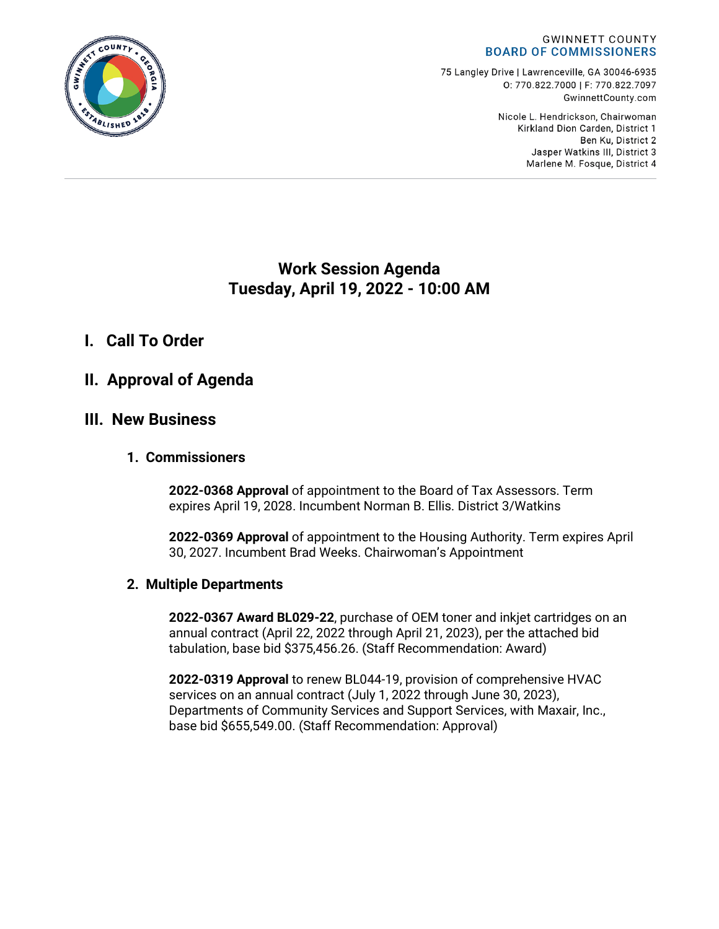

75 Langley Drive | Lawrenceville, GA 30046-6935 0:770.822.7000 | F: 770.822.7097 GwinnettCounty.com

> Nicole L. Hendrickson, Chairwoman Kirkland Dion Carden, District 1 Ben Ku. District 2 Jasper Watkins III, District 3 Marlene M. Fosque, District 4

# **Work Session Agenda Tuesday, April 19, 2022 - 10:00 AM**

## **I. Call To Order**

## **II. Approval of Agenda**

### **III. New Business**

### **1. Commissioners**

**2022-0368 Approval** of appointment to the Board of Tax Assessors. Term expires April 19, 2028. Incumbent Norman B. Ellis. District 3/Watkins

**2022-0369 Approval** of appointment to the Housing Authority. Term expires April 30, 2027. Incumbent Brad Weeks. Chairwoman's Appointment

### **2. Multiple Departments**

**2022-0367 Award BL029-22**, purchase of OEM toner and inkjet cartridges on an annual contract (April 22, 2022 through April 21, 2023), per the attached bid tabulation, base bid \$375,456.26. (Staff Recommendation: Award)

**2022-0319 Approval** to renew BL044-19, provision of comprehensive HVAC services on an annual contract (July 1, 2022 through June 30, 2023), Departments of Community Services and Support Services, with Maxair, Inc., base bid \$655,549.00. (Staff Recommendation: Approval)

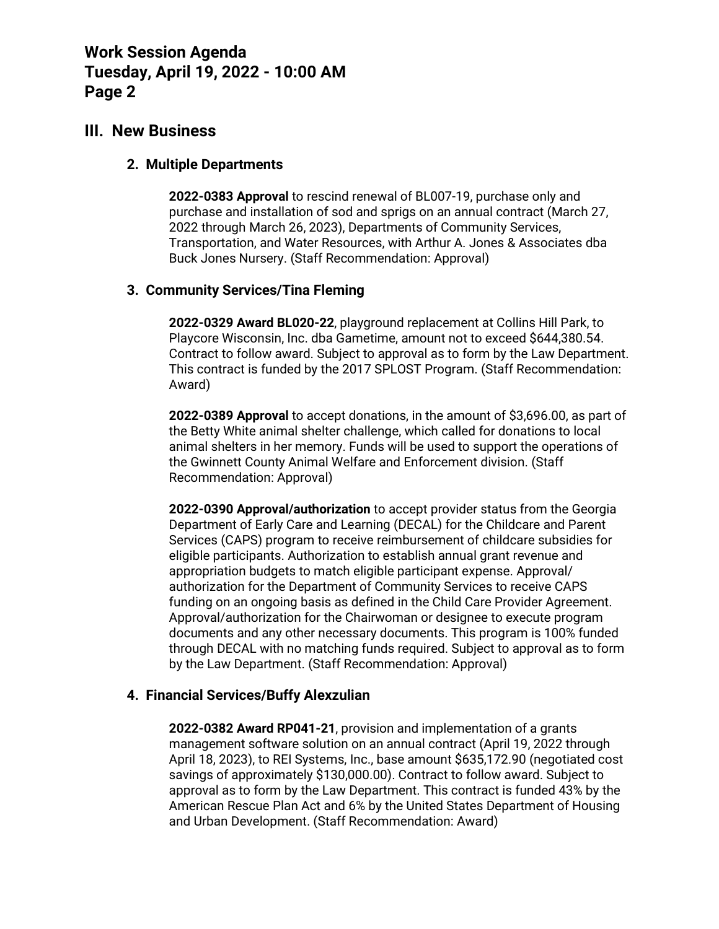### **III. New Business**

#### **2. Multiple Departments**

**2022-0383 Approval** to rescind renewal of BL007-19, purchase only and purchase and installation of sod and sprigs on an annual contract (March 27, 2022 through March 26, 2023), Departments of Community Services, Transportation, and Water Resources, with Arthur A. Jones & Associates dba Buck Jones Nursery. (Staff Recommendation: Approval)

### **3. Community Services/Tina Fleming**

**2022-0329 Award BL020-22**, playground replacement at Collins Hill Park, to Playcore Wisconsin, Inc. dba Gametime, amount not to exceed \$644,380.54. Contract to follow award. Subject to approval as to form by the Law Department. This contract is funded by the 2017 SPLOST Program. (Staff Recommendation: Award)

**2022-0389 Approval** to accept donations, in the amount of \$3,696.00, as part of the Betty White animal shelter challenge, which called for donations to local animal shelters in her memory. Funds will be used to support the operations of the Gwinnett County Animal Welfare and Enforcement division. (Staff Recommendation: Approval)

**2022-0390 Approval/authorization** to accept provider status from the Georgia Department of Early Care and Learning (DECAL) for the Childcare and Parent Services (CAPS) program to receive reimbursement of childcare subsidies for eligible participants. Authorization to establish annual grant revenue and appropriation budgets to match eligible participant expense. Approval/ authorization for the Department of Community Services to receive CAPS funding on an ongoing basis as defined in the Child Care Provider Agreement. Approval/authorization for the Chairwoman or designee to execute program documents and any other necessary documents. This program is 100% funded through DECAL with no matching funds required. Subject to approval as to form by the Law Department. (Staff Recommendation: Approval)

### **4. Financial Services/Buffy Alexzulian**

**2022-0382 Award RP041-21**, provision and implementation of a grants management software solution on an annual contract (April 19, 2022 through April 18, 2023), to REI Systems, Inc., base amount \$635,172.90 (negotiated cost savings of approximately \$130,000.00). Contract to follow award. Subject to approval as to form by the Law Department. This contract is funded 43% by the American Rescue Plan Act and 6% by the United States Department of Housing and Urban Development. (Staff Recommendation: Award)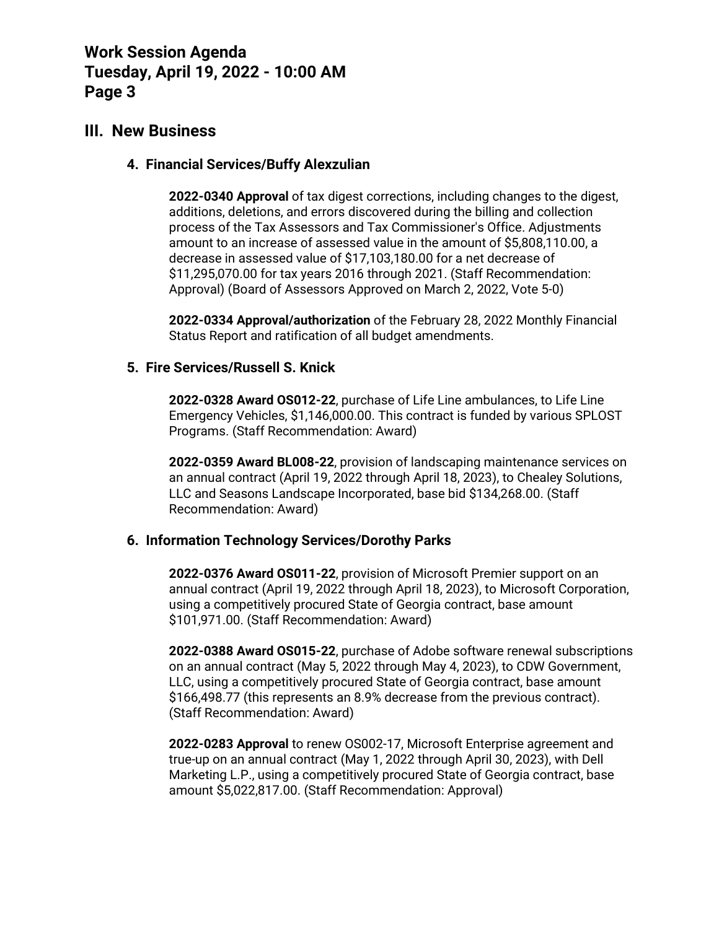### **III. New Business**

#### **4. Financial Services/Buffy Alexzulian**

**2022-0340 Approval** of tax digest corrections, including changes to the digest, additions, deletions, and errors discovered during the billing and collection process of the Tax Assessors and Tax Commissioner's Office. Adjustments amount to an increase of assessed value in the amount of \$5,808,110.00, a decrease in assessed value of \$17,103,180.00 for a net decrease of \$11,295,070.00 for tax years 2016 through 2021. (Staff Recommendation: Approval) (Board of Assessors Approved on March 2, 2022, Vote 5-0)

**2022-0334 Approval/authorization** of the February 28, 2022 Monthly Financial Status Report and ratification of all budget amendments.

#### **5. Fire Services/Russell S. Knick**

**2022-0328 Award OS012-22**, purchase of Life Line ambulances, to Life Line Emergency Vehicles, \$1,146,000.00. This contract is funded by various SPLOST Programs. (Staff Recommendation: Award)

**2022-0359 Award BL008-22**, provision of landscaping maintenance services on an annual contract (April 19, 2022 through April 18, 2023), to Chealey Solutions, LLC and Seasons Landscape Incorporated, base bid \$134,268.00. (Staff Recommendation: Award)

### **6. Information Technology Services/Dorothy Parks**

**2022-0376 Award OS011-22**, provision of Microsoft Premier support on an annual contract (April 19, 2022 through April 18, 2023), to Microsoft Corporation, using a competitively procured State of Georgia contract, base amount \$101,971.00. (Staff Recommendation: Award)

**2022-0388 Award OS015-22**, purchase of Adobe software renewal subscriptions on an annual contract (May 5, 2022 through May 4, 2023), to CDW Government, LLC, using a competitively procured State of Georgia contract, base amount \$166,498.77 (this represents an 8.9% decrease from the previous contract). (Staff Recommendation: Award)

**2022-0283 Approval** to renew OS002-17, Microsoft Enterprise agreement and true-up on an annual contract (May 1, 2022 through April 30, 2023), with Dell Marketing L.P., using a competitively procured State of Georgia contract, base amount \$5,022,817.00. (Staff Recommendation: Approval)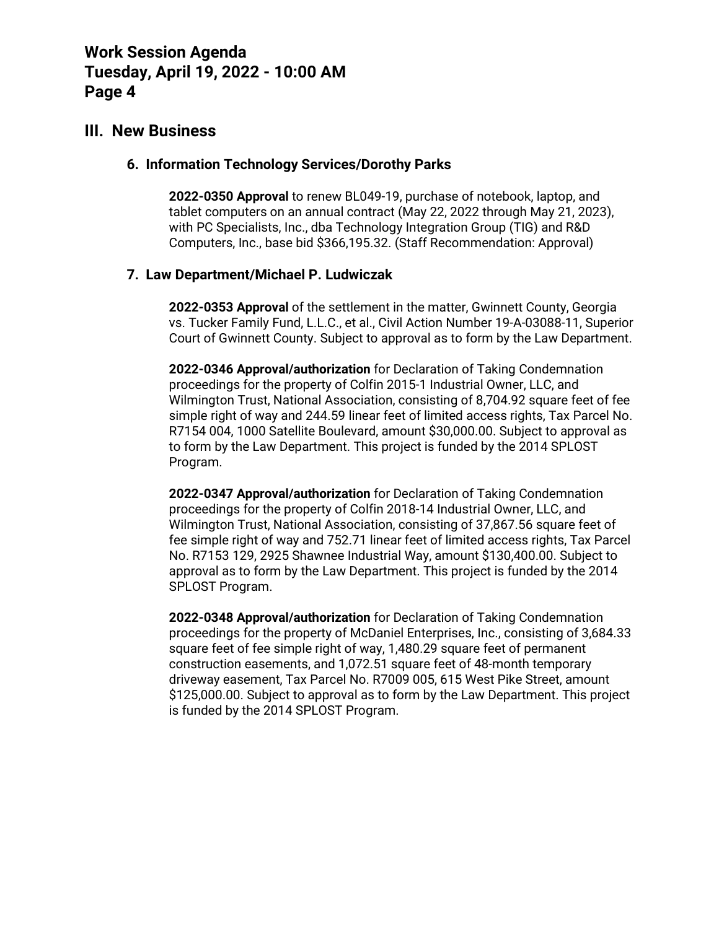### **III. New Business**

#### **6. Information Technology Services/Dorothy Parks**

**2022-0350 Approval** to renew BL049-19, purchase of notebook, laptop, and tablet computers on an annual contract (May 22, 2022 through May 21, 2023), with PC Specialists, Inc., dba Technology Integration Group (TIG) and R&D Computers, Inc., base bid \$366,195.32. (Staff Recommendation: Approval)

### **7. Law Department/Michael P. Ludwiczak**

**2022-0353 Approval** of the settlement in the matter, Gwinnett County, Georgia vs. Tucker Family Fund, L.L.C., et al., Civil Action Number 19-A-03088-11, Superior Court of Gwinnett County. Subject to approval as to form by the Law Department.

**2022-0346 Approval/authorization** for Declaration of Taking Condemnation proceedings for the property of Colfin 2015-1 Industrial Owner, LLC, and Wilmington Trust, National Association, consisting of 8,704.92 square feet of fee simple right of way and 244.59 linear feet of limited access rights, Tax Parcel No. R7154 004, 1000 Satellite Boulevard, amount \$30,000.00. Subject to approval as to form by the Law Department. This project is funded by the 2014 SPLOST Program.

**2022-0347 Approval/authorization** for Declaration of Taking Condemnation proceedings for the property of Colfin 2018-14 Industrial Owner, LLC, and Wilmington Trust, National Association, consisting of 37,867.56 square feet of fee simple right of way and 752.71 linear feet of limited access rights, Tax Parcel No. R7153 129, 2925 Shawnee Industrial Way, amount \$130,400.00. Subject to approval as to form by the Law Department. This project is funded by the 2014 SPLOST Program.

**2022-0348 Approval/authorization** for Declaration of Taking Condemnation proceedings for the property of McDaniel Enterprises, Inc., consisting of 3,684.33 square feet of fee simple right of way, 1,480.29 square feet of permanent construction easements, and 1,072.51 square feet of 48-month temporary driveway easement, Tax Parcel No. R7009 005, 615 West Pike Street, amount \$125,000.00. Subject to approval as to form by the Law Department. This project is funded by the 2014 SPLOST Program.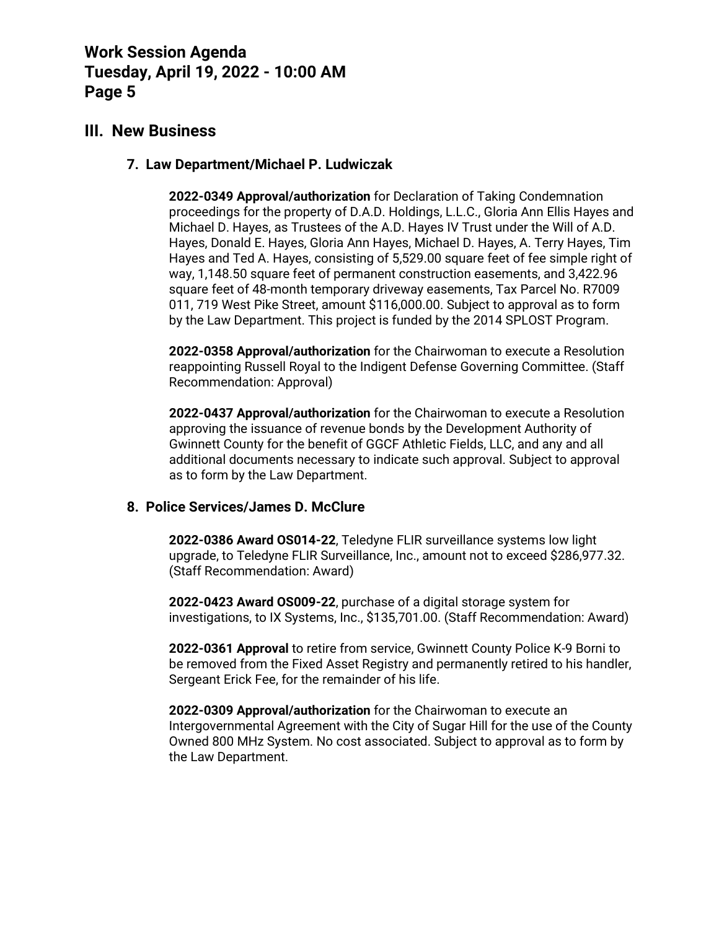### **III. New Business**

#### **7. Law Department/Michael P. Ludwiczak**

**2022-0349 Approval/authorization** for Declaration of Taking Condemnation proceedings for the property of D.A.D. Holdings, L.L.C., Gloria Ann Ellis Hayes and Michael D. Hayes, as Trustees of the A.D. Hayes IV Trust under the Will of A.D. Hayes, Donald E. Hayes, Gloria Ann Hayes, Michael D. Hayes, A. Terry Hayes, Tim Hayes and Ted A. Hayes, consisting of 5,529.00 square feet of fee simple right of way, 1,148.50 square feet of permanent construction easements, and 3,422.96 square feet of 48-month temporary driveway easements, Tax Parcel No. R7009 011, 719 West Pike Street, amount \$116,000.00. Subject to approval as to form by the Law Department. This project is funded by the 2014 SPLOST Program.

**2022-0358 Approval/authorization** for the Chairwoman to execute a Resolution reappointing Russell Royal to the Indigent Defense Governing Committee. (Staff Recommendation: Approval)

**2022-0437 Approval/authorization** for the Chairwoman to execute a Resolution approving the issuance of revenue bonds by the Development Authority of Gwinnett County for the benefit of GGCF Athletic Fields, LLC, and any and all additional documents necessary to indicate such approval. Subject to approval as to form by the Law Department.

### **8. Police Services/James D. McClure**

**2022-0386 Award OS014-22**, Teledyne FLIR surveillance systems low light upgrade, to Teledyne FLIR Surveillance, Inc., amount not to exceed \$286,977.32. (Staff Recommendation: Award)

**2022-0423 Award OS009-22**, purchase of a digital storage system for investigations, to IX Systems, Inc., \$135,701.00. (Staff Recommendation: Award)

**2022-0361 Approval** to retire from service, Gwinnett County Police K-9 Borni to be removed from the Fixed Asset Registry and permanently retired to his handler, Sergeant Erick Fee, for the remainder of his life.

**2022-0309 Approval/authorization** for the Chairwoman to execute an Intergovernmental Agreement with the City of Sugar Hill for the use of the County Owned 800 MHz System. No cost associated. Subject to approval as to form by the Law Department.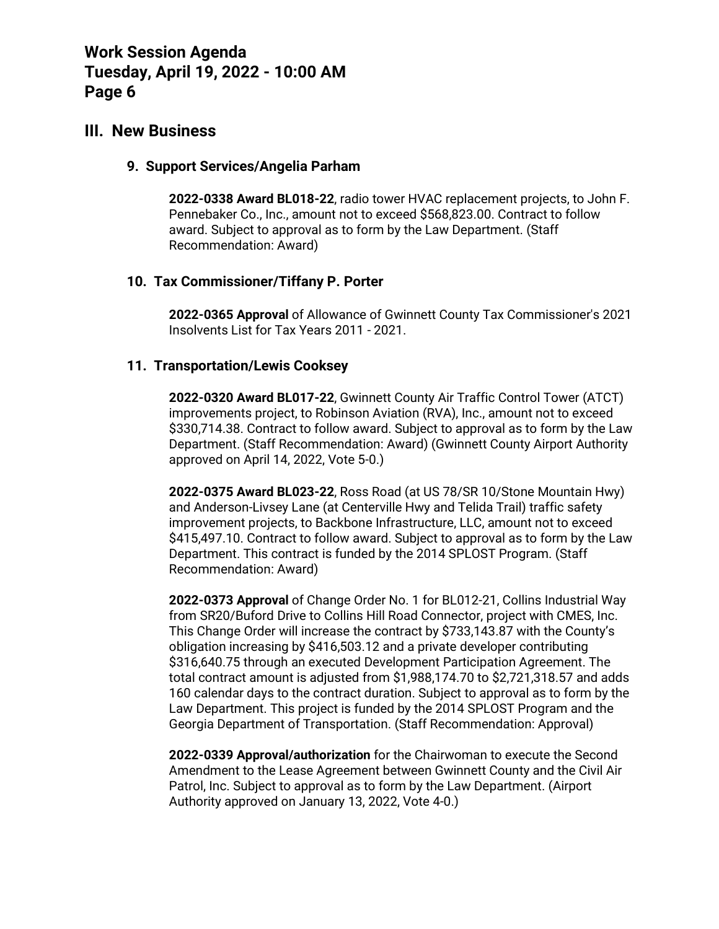### **III. New Business**

#### **9. Support Services/Angelia Parham**

**2022-0338 Award BL018-22**, radio tower HVAC replacement projects, to John F. Pennebaker Co., Inc., amount not to exceed \$568,823.00. Contract to follow award. Subject to approval as to form by the Law Department. (Staff Recommendation: Award)

### **10. Tax Commissioner/Tiffany P. Porter**

**2022-0365 Approval** of Allowance of Gwinnett County Tax Commissioner's 2021 Insolvents List for Tax Years 2011 - 2021.

### **11. Transportation/Lewis Cooksey**

**2022-0320 Award BL017-22**, Gwinnett County Air Traffic Control Tower (ATCT) improvements project, to Robinson Aviation (RVA), Inc., amount not to exceed \$330,714.38. Contract to follow award. Subject to approval as to form by the Law Department. (Staff Recommendation: Award) (Gwinnett County Airport Authority approved on April 14, 2022, Vote 5-0.)

**2022-0375 Award BL023-22**, Ross Road (at US 78/SR 10/Stone Mountain Hwy) and Anderson-Livsey Lane (at Centerville Hwy and Telida Trail) traffic safety improvement projects, to Backbone Infrastructure, LLC, amount not to exceed \$415,497.10. Contract to follow award. Subject to approval as to form by the Law Department. This contract is funded by the 2014 SPLOST Program. (Staff Recommendation: Award)

**2022-0373 Approval** of Change Order No. 1 for BL012-21, Collins Industrial Way from SR20/Buford Drive to Collins Hill Road Connector, project with CMES, Inc. This Change Order will increase the contract by \$733,143.87 with the County's obligation increasing by \$416,503.12 and a private developer contributing \$316,640.75 through an executed Development Participation Agreement. The total contract amount is adjusted from \$1,988,174.70 to \$2,721,318.57 and adds 160 calendar days to the contract duration. Subject to approval as to form by the Law Department. This project is funded by the 2014 SPLOST Program and the Georgia Department of Transportation. (Staff Recommendation: Approval)

**2022-0339 Approval/authorization** for the Chairwoman to execute the Second Amendment to the Lease Agreement between Gwinnett County and the Civil Air Patrol, Inc. Subject to approval as to form by the Law Department. (Airport Authority approved on January 13, 2022, Vote 4-0.)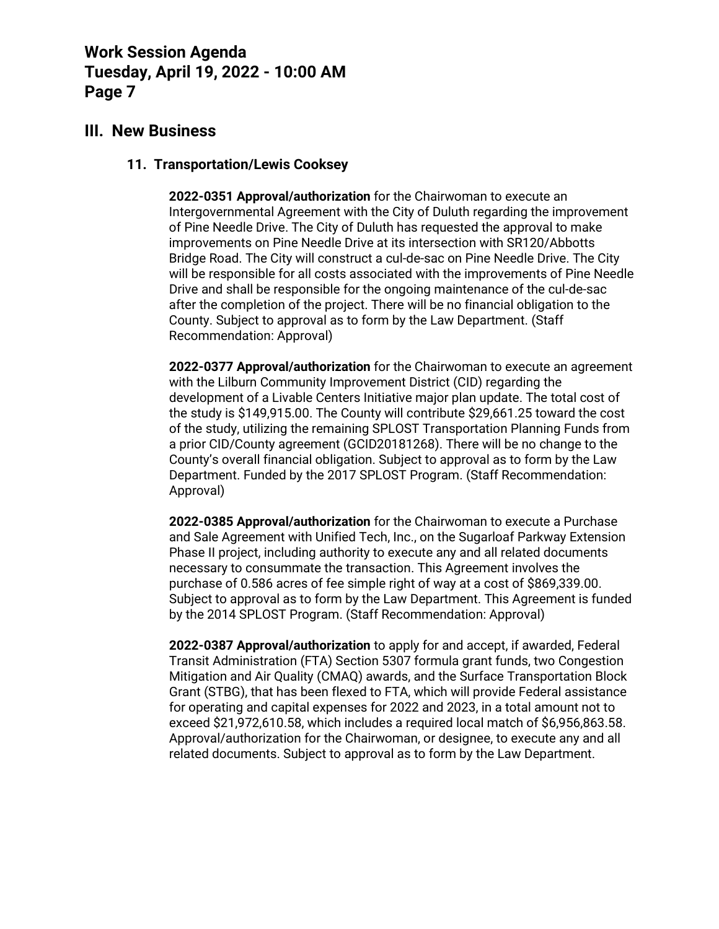### **III. New Business**

#### **11. Transportation/Lewis Cooksey**

**2022-0351 Approval/authorization** for the Chairwoman to execute an Intergovernmental Agreement with the City of Duluth regarding the improvement of Pine Needle Drive. The City of Duluth has requested the approval to make improvements on Pine Needle Drive at its intersection with SR120/Abbotts Bridge Road. The City will construct a cul-de-sac on Pine Needle Drive. The City will be responsible for all costs associated with the improvements of Pine Needle Drive and shall be responsible for the ongoing maintenance of the cul-de-sac after the completion of the project. There will be no financial obligation to the County. Subject to approval as to form by the Law Department. (Staff Recommendation: Approval)

**2022-0377 Approval/authorization** for the Chairwoman to execute an agreement with the Lilburn Community Improvement District (CID) regarding the development of a Livable Centers Initiative major plan update. The total cost of the study is \$149,915.00. The County will contribute \$29,661.25 toward the cost of the study, utilizing the remaining SPLOST Transportation Planning Funds from a prior CID/County agreement (GCID20181268). There will be no change to the County's overall financial obligation. Subject to approval as to form by the Law Department. Funded by the 2017 SPLOST Program. (Staff Recommendation: Approval)

**2022-0385 Approval/authorization** for the Chairwoman to execute a Purchase and Sale Agreement with Unified Tech, Inc., on the Sugarloaf Parkway Extension Phase II project, including authority to execute any and all related documents necessary to consummate the transaction. This Agreement involves the purchase of 0.586 acres of fee simple right of way at a cost of \$869,339.00. Subject to approval as to form by the Law Department. This Agreement is funded by the 2014 SPLOST Program. (Staff Recommendation: Approval)

**2022-0387 Approval/authorization** to apply for and accept, if awarded, Federal Transit Administration (FTA) Section 5307 formula grant funds, two Congestion Mitigation and Air Quality (CMAQ) awards, and the Surface Transportation Block Grant (STBG), that has been flexed to FTA, which will provide Federal assistance for operating and capital expenses for 2022 and 2023, in a total amount not to exceed \$21,972,610.58, which includes a required local match of \$6,956,863.58. Approval/authorization for the Chairwoman, or designee, to execute any and all related documents. Subject to approval as to form by the Law Department.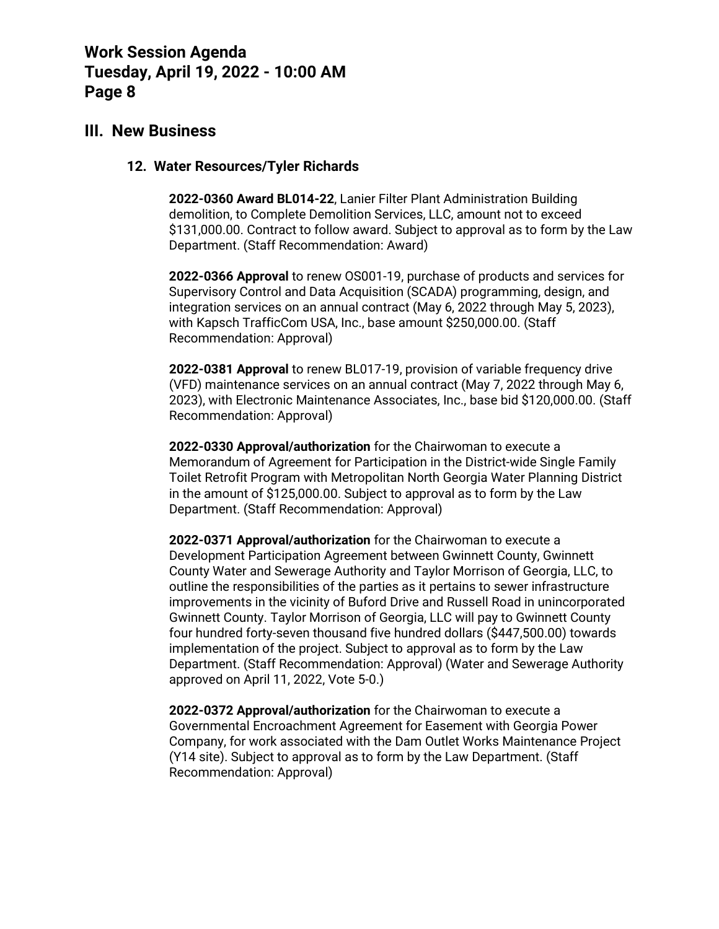### **III. New Business**

#### **12. Water Resources/Tyler Richards**

**2022-0360 Award BL014-22**, Lanier Filter Plant Administration Building demolition, to Complete Demolition Services, LLC, amount not to exceed \$131,000.00. Contract to follow award. Subject to approval as to form by the Law Department. (Staff Recommendation: Award)

**2022-0366 Approval** to renew OS001-19, purchase of products and services for Supervisory Control and Data Acquisition (SCADA) programming, design, and integration services on an annual contract (May 6, 2022 through May 5, 2023), with Kapsch TrafficCom USA, Inc., base amount \$250,000.00. (Staff Recommendation: Approval)

**2022-0381 Approval** to renew BL017-19, provision of variable frequency drive (VFD) maintenance services on an annual contract (May 7, 2022 through May 6, 2023), with Electronic Maintenance Associates, Inc., base bid \$120,000.00. (Staff Recommendation: Approval)

**2022-0330 Approval/authorization** for the Chairwoman to execute a Memorandum of Agreement for Participation in the District-wide Single Family Toilet Retrofit Program with Metropolitan North Georgia Water Planning District in the amount of \$125,000.00. Subject to approval as to form by the Law Department. (Staff Recommendation: Approval)

**2022-0371 Approval/authorization** for the Chairwoman to execute a Development Participation Agreement between Gwinnett County, Gwinnett County Water and Sewerage Authority and Taylor Morrison of Georgia, LLC, to outline the responsibilities of the parties as it pertains to sewer infrastructure improvements in the vicinity of Buford Drive and Russell Road in unincorporated Gwinnett County. Taylor Morrison of Georgia, LLC will pay to Gwinnett County four hundred forty-seven thousand five hundred dollars (\$447,500.00) towards implementation of the project. Subject to approval as to form by the Law Department. (Staff Recommendation: Approval) (Water and Sewerage Authority approved on April 11, 2022, Vote 5-0.)

**2022-0372 Approval/authorization** for the Chairwoman to execute a Governmental Encroachment Agreement for Easement with Georgia Power Company, for work associated with the Dam Outlet Works Maintenance Project (Y14 site). Subject to approval as to form by the Law Department. (Staff Recommendation: Approval)